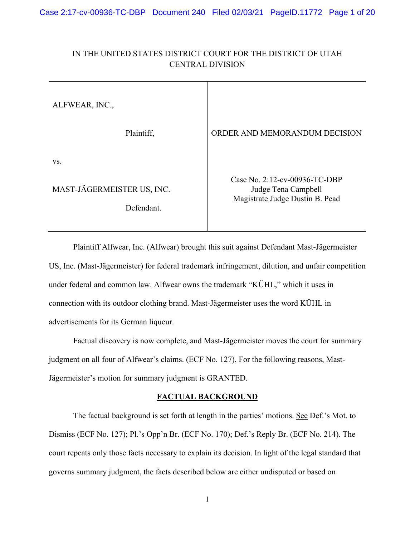# ALFWEAR, INC., Plaintiff, **DRIGHTER AND MEMORANDUM DECISION** vs. Case No. 2:12-cv-00936-TC-DBP MAST-JÄGERMEISTER US, INC. Defendant. Judge Tena Campbell Magistrate Judge Dustin B. Pead

# IN THE UNITED STATES DISTRICT COURT FOR THE DISTRICT OF UTAH CENTRAL DIVISION

Plaintiff Alfwear, Inc. (Alfwear) brought this suit against Defendant Mast-Jägermeister US, Inc. (Mast-Jägermeister) for federal trademark infringement, dilution, and unfair competition under federal and common law. Alfwear owns the trademark "KÜHL," which it uses in connection with its outdoor clothing brand. Mast-Jägermeister uses the word KÜHL in advertisements for its German liqueur.

Factual discovery is now complete, and Mast-Jägermeister moves the court for summary judgment on all four of Alfwear's claims. (ECF No. 127). For the following reasons, Mast-Jägermeister's motion for summary judgment is GRANTED.

# **FACTUAL BACKGROUND**

The factual background is set forth at length in the parties' motions. See Def.'s Mot. to Dismiss (ECF No. 127); Pl.'s Opp'n Br. (ECF No. 170); Def.'s Reply Br. (ECF No. 214). The court repeats only those facts necessary to explain its decision. In light of the legal standard that governs summary judgment, the facts described below are either undisputed or based on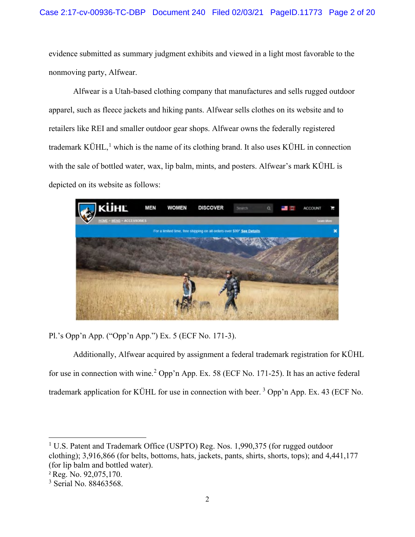evidence submitted as summary judgment exhibits and viewed in a light most favorable to the nonmoving party, Alfwear.

Alfwear is a Utah-based clothing company that manufactures and sells rugged outdoor apparel, such as fleece jackets and hiking pants. Alfwear sells clothes on its website and to retailers like REI and smaller outdoor gear shops. Alfwear owns the federally registered trademark KÜHL, [1](#page-1-0) which is the name of its clothing brand. It also uses KÜHL in connection with the sale of bottled water, wax, lip balm, mints, and posters. Alfwear's mark KÜHL is depicted on its website as follows:



Pl.'s Opp'n App. ("Opp'n App.") Ex. 5 (ECF No. 171-3).

Additionally, Alfwear acquired by assignment a federal trademark registration for KÜHL for use in connection with wine. [2](#page-1-1) Opp'n App. Ex. 58 (ECF No. 171-25). It has an active federal trademark application for KÜHL for use in connection with beer. [3](#page-1-2) Opp'n App. Ex. 43 (ECF No.

<span id="page-1-0"></span><sup>&</sup>lt;sup>1</sup> U.S. Patent and Trademark Office (USPTO) Reg. Nos. 1,990,375 (for rugged outdoor clothing); 3,916,866 (for belts, bottoms, hats, jackets, pants, shirts, shorts, tops); and 4,441,177 (for lip balm and bottled water).

<span id="page-1-1"></span><sup>2</sup> Reg. No. 92,075,170.

<span id="page-1-2"></span><sup>&</sup>lt;sup>3</sup> Serial No. 88463568.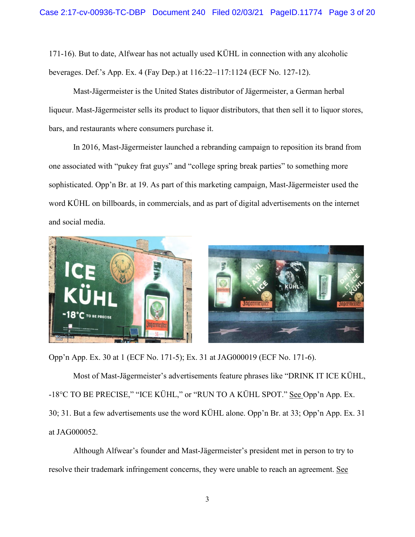171-16). But to date, Alfwear has not actually used KÜHL in connection with any alcoholic beverages. Def.'s App. Ex. 4 (Fay Dep.) at 116:22–117:1124 (ECF No. 127-12).

Mast-Jägermeister is the United States distributor of Jägermeister, a German herbal liqueur. Mast-Jägermeister sells its product to liquor distributors, that then sell it to liquor stores, bars, and restaurants where consumers purchase it.

In 2016, Mast-Jägermeister launched a rebranding campaign to reposition its brand from one associated with "pukey frat guys" and "college spring break parties" to something more sophisticated. Opp'n Br. at 19. As part of this marketing campaign, Mast-Jägermeister used the word KÜHL on billboards, in commercials, and as part of digital advertisements on the internet and social media.





Opp'n App. Ex. 30 at 1 (ECF No. 171-5); Ex. 31 at JAG000019 (ECF No. 171-6).

Most of Mast-Jägermeister's advertisements feature phrases like "DRINK IT ICE KÜHL, -18°C TO BE PRECISE," "ICE KÜHL," or "RUN TO A KÜHL SPOT." See Opp'n App. Ex. 30; 31. But a few advertisements use the word KÜHL alone. Opp'n Br. at 33; Opp'n App. Ex. 31 at JAG000052.

Although Alfwear's founder and Mast-Jägermeister's president met in person to try to resolve their trademark infringement concerns, they were unable to reach an agreement. See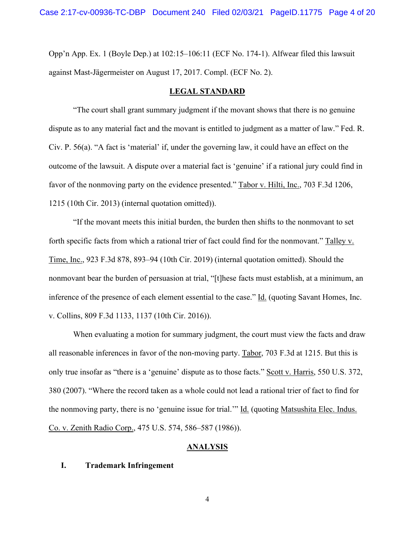Opp'n App. Ex. 1 (Boyle Dep.) at 102:15–106:11 (ECF No. 174-1). Alfwear filed this lawsuit against Mast-Jägermeister on August 17, 2017. Compl. (ECF No. 2).

## **LEGAL STANDARD**

"The court shall grant summary judgment if the movant shows that there is no genuine dispute as to any material fact and the movant is entitled to judgment as a matter of law." Fed. R. Civ. P. 56(a). "A fact is 'material' if, under the governing law, it could have an effect on the outcome of the lawsuit. A dispute over a material fact is 'genuine' if a rational jury could find in favor of the nonmoving party on the evidence presented." Tabor v. Hilti, Inc., 703 F.3d 1206, 1215 (10th Cir. 2013) (internal quotation omitted)).

"If the movant meets this initial burden, the burden then shifts to the nonmovant to set forth specific facts from which a rational trier of fact could find for the nonmovant." Talley v. Time, Inc., 923 F.3d 878, 893–94 (10th Cir. 2019) (internal quotation omitted). Should the nonmovant bear the burden of persuasion at trial, "[t]hese facts must establish, at a minimum, an inference of the presence of each element essential to the case." Id. (quoting Savant Homes, Inc. v. Collins, 809 F.3d 1133, 1137 (10th Cir. 2016)).

When evaluating a motion for summary judgment, the court must view the facts and draw all reasonable inferences in favor of the non-moving party. Tabor, 703 F.3d at 1215. But this is only true insofar as "there is a 'genuine' dispute as to those facts." Scott v. Harris, 550 U.S. 372, 380 (2007). "Where the record taken as a whole could not lead a rational trier of fact to find for the nonmoving party, there is no 'genuine issue for trial.'" Id. (quoting Matsushita Elec. Indus. Co. v. Zenith Radio Corp., 475 U.S. 574, 586–587 (1986)).

# **ANALYSIS**

#### **I. Trademark Infringement**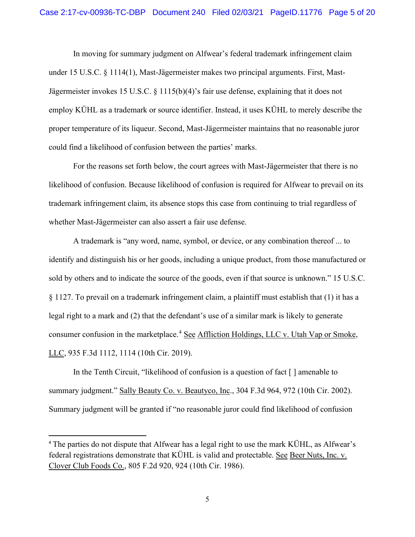In moving for summary judgment on Alfwear's federal trademark infringement claim under 15 U.S.C. § 1114(1), Mast-Jägermeister makes two principal arguments. First, Mast-Jägermeister invokes 15 U.S.C. § 1115(b)(4)'s fair use defense, explaining that it does not employ KÜHL as a trademark or source identifier. Instead, it uses KÜHL to merely describe the proper temperature of its liqueur. Second, Mast-Jägermeister maintains that no reasonable juror could find a likelihood of confusion between the parties' marks.

For the reasons set forth below, the court agrees with Mast-Jägermeister that there is no likelihood of confusion. Because likelihood of confusion is required for Alfwear to prevail on its trademark infringement claim, its absence stops this case from continuing to trial regardless of whether Mast-Jägermeister can also assert a fair use defense.

A trademark is "any word, name, symbol, or device, or any combination thereof ... to identify and distinguish his or her goods, including a unique product, from those manufactured or sold by others and to indicate the source of the goods, even if that source is unknown." 15 U.S.C. § 1127. To prevail on a trademark infringement claim, a plaintiff must establish that (1) it has a legal right to a mark and (2) that the defendant's use of a similar mark is likely to generate consumer confusion in the marketplace.[4](#page-4-0) See Affliction Holdings, LLC v. Utah Vap or Smoke, LLC, 935 F.3d 1112, 1114 (10th Cir. 2019).

In the Tenth Circuit, "likelihood of confusion is a question of fact [ ] amenable to summary judgment." Sally Beauty Co. v. Beautyco, Inc., 304 F.3d 964, 972 (10th Cir. 2002). Summary judgment will be granted if "no reasonable juror could find likelihood of confusion

<span id="page-4-0"></span><sup>4</sup> The parties do not dispute that Alfwear has a legal right to use the mark KÜHL, as Alfwear's federal registrations demonstrate that KÜHL is valid and protectable. See Beer Nuts, Inc. v. Clover Club Foods Co., 805 F.2d 920, 924 (10th Cir. 1986).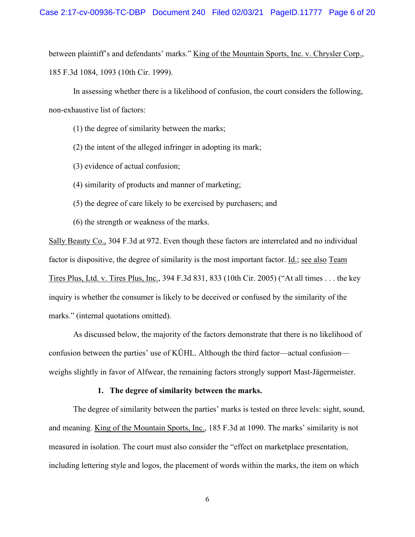between plaintiff's and defendants' marks." King of the Mountain Sports, Inc. v. Chrysler Corp., 185 F.3d 1084, 1093 (10th Cir. 1999).

In assessing whether there is a likelihood of confusion, the court considers the following, non-exhaustive list of factors:

- (1) the degree of similarity between the marks;
- (2) the intent of the alleged infringer in adopting its mark;
- (3) evidence of actual confusion;
- (4) similarity of products and manner of marketing;
- (5) the degree of care likely to be exercised by purchasers; and
- (6) the strength or weakness of the marks.

Sally Beauty Co., 304 F.3d at 972. Even though these factors are interrelated and no individual factor is dispositive, the degree of similarity is the most important factor. Id.; see also Team Tires Plus, Ltd. v. Tires Plus, Inc., 394 F.3d 831, 833 (10th Cir. 2005) ("At all times . . . the key inquiry is whether the consumer is likely to be deceived or confused by the similarity of the marks." (internal quotations omitted).

As discussed below, the majority of the factors demonstrate that there is no likelihood of confusion between the parties' use of KÜHL. Although the third factor—actual confusion weighs slightly in favor of Alfwear, the remaining factors strongly support Mast-Jägermeister.

#### **1. The degree of similarity between the marks.**

The degree of similarity between the parties' marks is tested on three levels: sight, sound, and meaning. King of the Mountain Sports, Inc., 185 F.3d at 1090. The marks' similarity is not measured in isolation. The court must also consider the "effect on marketplace presentation, including lettering style and logos, the placement of words within the marks, the item on which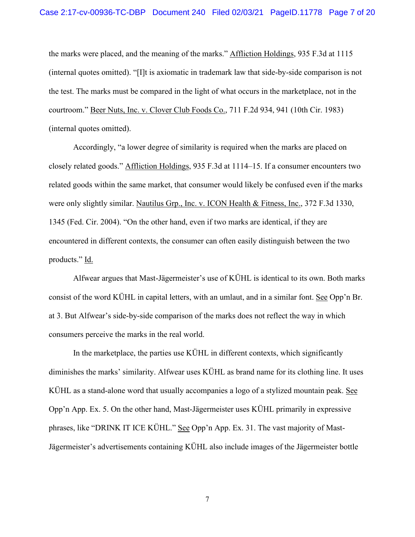the marks were placed, and the meaning of the marks." Affliction Holdings, 935 F.3d at 1115 (internal quotes omitted). "[I]t is axiomatic in trademark law that side-by-side comparison is not the test. The marks must be compared in the light of what occurs in the marketplace, not in the courtroom." Beer Nuts, Inc. v. Clover Club Foods Co., 711 F.2d 934, 941 (10th Cir. 1983) (internal quotes omitted).

Accordingly, "a lower degree of similarity is required when the marks are placed on closely related goods." Affliction Holdings, 935 F.3d at 1114–15. If a consumer encounters two related goods within the same market, that consumer would likely be confused even if the marks were only slightly similar. Nautilus Grp., Inc. v. ICON Health & Fitness, Inc., 372 F.3d 1330, 1345 (Fed. Cir. 2004). "On the other hand, even if two marks are identical, if they are encountered in different contexts, the consumer can often easily distinguish between the two products." Id.

Alfwear argues that Mast-Jägermeister's use of KÜHL is identical to its own. Both marks consist of the word KÜHL in capital letters, with an umlaut, and in a similar font. See Opp'n Br. at 3. But Alfwear's side-by-side comparison of the marks does not reflect the way in which consumers perceive the marks in the real world.

In the marketplace, the parties use KÜHL in different contexts, which significantly diminishes the marks' similarity. Alfwear uses KÜHL as brand name for its clothing line. It uses KÜHL as a stand-alone word that usually accompanies a logo of a stylized mountain peak. See Opp'n App. Ex. 5. On the other hand, Mast-Jägermeister uses KÜHL primarily in expressive phrases, like "DRINK IT ICE KÜHL." See Opp'n App. Ex. 31. The vast majority of Mast-Jägermeister's advertisements containing KÜHL also include images of the Jägermeister bottle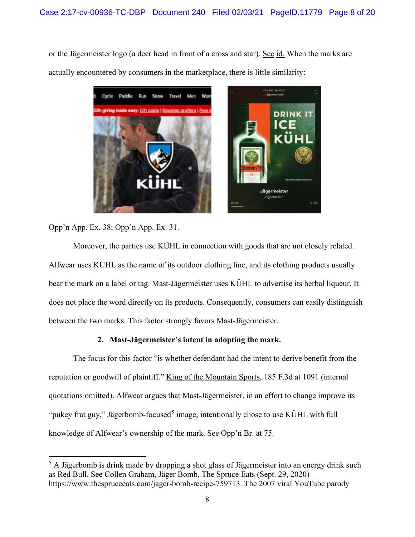or the Jägermeister logo (a deer head in front of a cross and star). See id. When the marks are actually encountered by consumers in the marketplace, there is little similarity:



Opp'n App. Ex. 38; Opp'n App. Ex. 31.

Moreover, the parties use KÜHL in connection with goods that are not closely related. Alfwear uses KÜHL as the name of its outdoor clothing line, and its clothing products usually bear the mark on a label or tag. Mast-Jägermeister uses KÜHL to advertise its herbal liqueur. It does not place the word directly on its products. Consequently, consumers can easily distinguish between the two marks. This factor strongly favors Mast-Jägermeister.

# **2. Mast-Jägermeister's intent in adopting the mark.**

The focus for this factor "is whether defendant had the intent to derive benefit from the reputation or goodwill of plaintiff." King of the Mountain Sports, 185 F.3d at 1091 (internal quotations omitted). Alfwear argues that Mast-Jägermeister, in an effort to change improve its "pukey frat guy," Jägerbomb-focused<sup>[5](#page-7-0)</sup> image, intentionally chose to use KÜHL with full knowledge of Alfwear's ownership of the mark. See Opp'n Br. at 75.

<span id="page-7-0"></span> $<sup>5</sup>$  A Jägerbomb is drink made by dropping a shot glass of Jägermeister into an energy drink such</sup> as Red Bull. See Collen Graham, Jäger Bomb, The Spruce Eats (Sept. 29, 2020) https://www.thespruceeats.com/jager-bomb-recipe-759713. The 2007 viral YouTube parody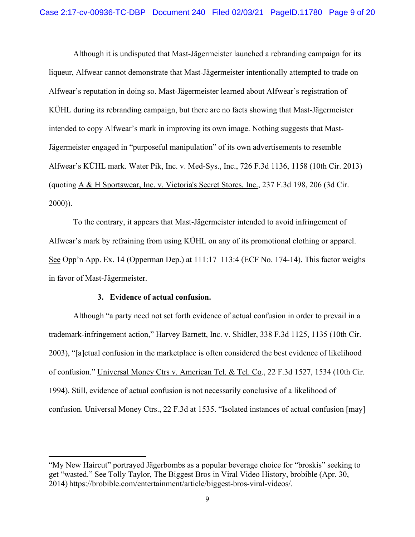Although it is undisputed that Mast-Jägermeister launched a rebranding campaign for its liqueur, Alfwear cannot demonstrate that Mast-Jägermeister intentionally attempted to trade on Alfwear's reputation in doing so. Mast-Jägermeister learned about Alfwear's registration of KÜHL during its rebranding campaign, but there are no facts showing that Mast-Jägermeister intended to copy Alfwear's mark in improving its own image. Nothing suggests that Mast-Jägermeister engaged in "purposeful manipulation" of its own advertisements to resemble Alfwear's KÜHL mark. Water Pik, Inc. v. Med-Sys., Inc., 726 F.3d 1136, 1158 (10th Cir. 2013) (quoting A & H Sportswear, Inc. v. Victoria's Secret Stores, Inc., 237 F.3d 198, 206 (3d Cir. 2000)).

To the contrary, it appears that Mast-Jägermeister intended to avoid infringement of Alfwear's mark by refraining from using KÜHL on any of its promotional clothing or apparel. See Opp'n App. Ex. 14 (Opperman Dep.) at 111:17–113:4 (ECF No. 174-14). This factor weighs in favor of Mast-Jägermeister.

#### **3. Evidence of actual confusion.**

Although "a party need not set forth evidence of actual confusion in order to prevail in a trademark-infringement action," Harvey Barnett, Inc. v. Shidler, 338 F.3d 1125, 1135 (10th Cir. 2003), "[a]ctual confusion in the marketplace is often considered the best evidence of likelihood of confusion." Universal Money Ctrs v. American Tel. & Tel. Co., 22 F.3d 1527, 1534 (10th Cir. 1994). Still, evidence of actual confusion is not necessarily conclusive of a likelihood of confusion. Universal Money Ctrs., 22 F.3d at 1535. "Isolated instances of actual confusion [may]

<sup>&</sup>quot;My New Haircut" portrayed Jägerbombs as a popular beverage choice for "broskis" seeking to get "wasted." See Tolly Taylor, The Biggest Bros in Viral Video History, brobible (Apr. 30, 2014) https://brobible.com/entertainment/article/biggest-bros-viral-videos/.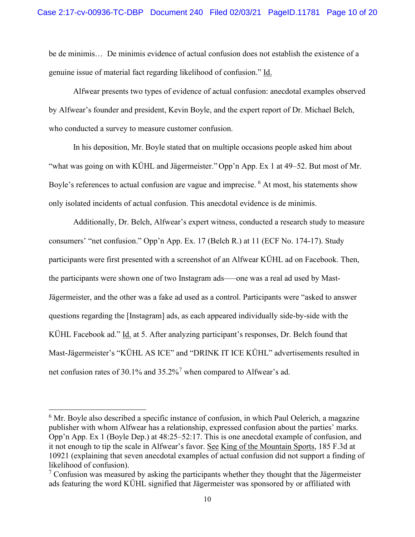be de minimis… De minimis evidence of actual confusion does not establish the existence of a genuine issue of material fact regarding likelihood of confusion." Id.

Alfwear presents two types of evidence of actual confusion: anecdotal examples observed by Alfwear's founder and president, Kevin Boyle, and the expert report of Dr. Michael Belch, who conducted a survey to measure customer confusion.

In his deposition, Mr. Boyle stated that on multiple occasions people asked him about "what was going on with KÜHL and Jägermeister." Opp'n App. Ex 1 at 49–52. But most of Mr. Boyle's references to actual confusion are vague and imprecise. <sup>[6](#page-9-0)</sup> At most, his statements show only isolated incidents of actual confusion. This anecdotal evidence is de minimis.

Additionally, Dr. Belch, Alfwear's expert witness, conducted a research study to measure consumers' "net confusion." Opp'n App. Ex. 17 (Belch R.) at 11 (ECF No. 174-17). Study participants were first presented with a screenshot of an Alfwear KÜHL ad on Facebook. Then, the participants were shown one of two Instagram ads–—one was a real ad used by Mast-Jägermeister, and the other was a fake ad used as a control. Participants were "asked to answer questions regarding the [Instagram] ads, as each appeared individually side-by-side with the KÜHL Facebook ad." Id. at 5. After analyzing participant's responses, Dr. Belch found that Mast-Jägermeister's "KÜHL AS ICE" and "DRINK IT ICE KÜHL" advertisements resulted in net confusion rates of 30.1% and 35.2%[7](#page-9-1) when compared to Alfwear's ad.

<span id="page-9-0"></span> $6$  Mr. Boyle also described a specific instance of confusion, in which Paul Oelerich, a magazine publisher with whom Alfwear has a relationship, expressed confusion about the parties' marks. Opp'n App. Ex 1 (Boyle Dep.) at 48:25–52:17. This is one anecdotal example of confusion, and it not enough to tip the scale in Alfwear's favor. See King of the Mountain Sports, 185 F.3d at 10921 (explaining that seven anecdotal examples of actual confusion did not support a finding of likelihood of confusion).

<span id="page-9-1"></span><sup>&</sup>lt;sup>7</sup> Confusion was measured by asking the participants whether they thought that the Jägermeister ads featuring the word KÜHL signified that Jägermeister was sponsored by or affiliated with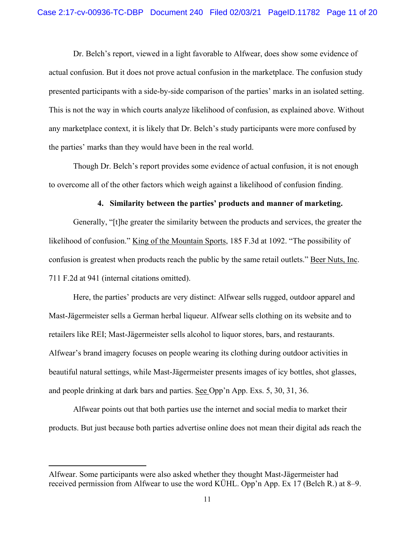Dr. Belch's report, viewed in a light favorable to Alfwear, does show some evidence of actual confusion. But it does not prove actual confusion in the marketplace. The confusion study presented participants with a side-by-side comparison of the parties' marks in an isolated setting. This is not the way in which courts analyze likelihood of confusion, as explained above. Without any marketplace context, it is likely that Dr. Belch's study participants were more confused by the parties' marks than they would have been in the real world.

Though Dr. Belch's report provides some evidence of actual confusion, it is not enough to overcome all of the other factors which weigh against a likelihood of confusion finding.

# **4. Similarity between the parties' products and manner of marketing.**

Generally, "[t]he greater the similarity between the products and services, the greater the likelihood of confusion." King of the Mountain Sports, 185 F.3d at 1092. "The possibility of confusion is greatest when products reach the public by the same retail outlets." Beer Nuts, Inc. 711 F.2d at 941 (internal citations omitted).

Here, the parties' products are very distinct: Alfwear sells rugged, outdoor apparel and Mast-Jägermeister sells a German herbal liqueur. Alfwear sells clothing on its website and to retailers like REI; Mast-Jägermeister sells alcohol to liquor stores, bars, and restaurants. Alfwear's brand imagery focuses on people wearing its clothing during outdoor activities in beautiful natural settings, while Mast-Jägermeister presents images of icy bottles, shot glasses, and people drinking at dark bars and parties. See Opp'n App. Exs. 5, 30, 31, 36.

Alfwear points out that both parties use the internet and social media to market their products. But just because both parties advertise online does not mean their digital ads reach the

Alfwear. Some participants were also asked whether they thought Mast-Jägermeister had received permission from Alfwear to use the word KÜHL. Opp'n App. Ex 17 (Belch R.) at 8–9.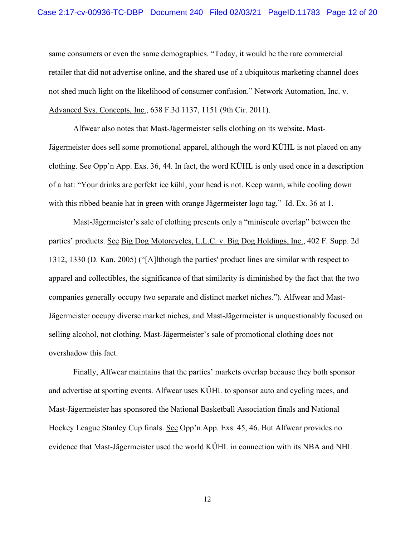same consumers or even the same demographics. "Today, it would be the rare commercial retailer that did not advertise online, and the shared use of a ubiquitous marketing channel does not shed much light on the likelihood of consumer confusion." Network Automation, Inc. v. Advanced Sys. Concepts, Inc., 638 F.3d 1137, 1151 (9th Cir. 2011).

Alfwear also notes that Mast-Jägermeister sells clothing on its website. Mast-Jägermeister does sell some promotional apparel, although the word KÜHL is not placed on any clothing. See Opp'n App. Exs. 36, 44. In fact, the word KÜHL is only used once in a description of a hat: "Your drinks are perfekt ice kühl, your head is not. Keep warm, while cooling down with this ribbed beanie hat in green with orange Jägermeister logo tag." Id. Ex. 36 at 1.

Mast-Jägermeister's sale of clothing presents only a "miniscule overlap" between the parties' products. See Big Dog Motorcycles, L.L.C. v. Big Dog Holdings, Inc., 402 F. Supp. 2d 1312, 1330 (D. Kan. 2005) ("[A]lthough the parties' product lines are similar with respect to apparel and collectibles, the significance of that similarity is diminished by the fact that the two companies generally occupy two separate and distinct market niches."). Alfwear and Mast-Jägermeister occupy diverse market niches, and Mast-Jägermeister is unquestionably focused on selling alcohol, not clothing. Mast-Jägermeister's sale of promotional clothing does not overshadow this fact.

Finally, Alfwear maintains that the parties' markets overlap because they both sponsor and advertise at sporting events. Alfwear uses KÜHL to sponsor auto and cycling races, and Mast-Jägermeister has sponsored the National Basketball Association finals and National Hockey League Stanley Cup finals. See Opp'n App. Exs. 45, 46. But Alfwear provides no evidence that Mast-Jägermeister used the world KÜHL in connection with its NBA and NHL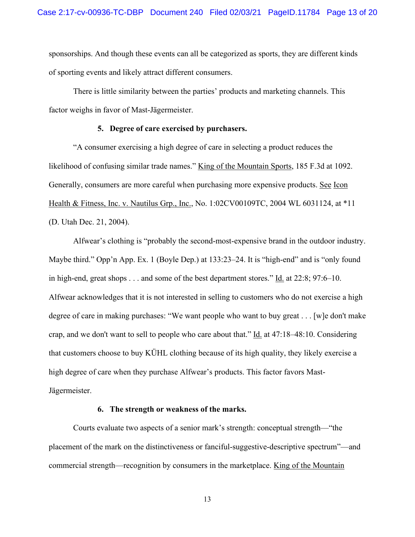sponsorships. And though these events can all be categorized as sports, they are different kinds of sporting events and likely attract different consumers.

There is little similarity between the parties' products and marketing channels. This factor weighs in favor of Mast-Jägermeister.

#### **5. Degree of care exercised by purchasers.**

"A consumer exercising a high degree of care in selecting a product reduces the likelihood of confusing similar trade names." King of the Mountain Sports, 185 F.3d at 1092. Generally, consumers are more careful when purchasing more expensive products. See Icon Health & Fitness, Inc. v. Nautilus Grp., Inc., No. 1:02CV00109TC, 2004 WL 6031124, at \*11 (D. Utah Dec. 21, 2004).

Alfwear's clothing is "probably the second-most-expensive brand in the outdoor industry. Maybe third." Opp'n App. Ex. 1 (Boyle Dep.) at 133:23–24. It is "high-end" and is "only found in high-end, great shops . . . and some of the best department stores." Id. at 22:8; 97:6–10. Alfwear acknowledges that it is not interested in selling to customers who do not exercise a high degree of care in making purchases: "We want people who want to buy great . . . [w]e don't make crap, and we don't want to sell to people who care about that." Id. at 47:18–48:10. Considering that customers choose to buy KÜHL clothing because of its high quality, they likely exercise a high degree of care when they purchase Alfwear's products. This factor favors Mast-Jägermeister.

# **6. The strength or weakness of the marks.**

Courts evaluate two aspects of a senior mark's strength: conceptual strength—"the placement of the mark on the distinctiveness or fanciful-suggestive-descriptive spectrum"—and commercial strength—recognition by consumers in the marketplace. King of the Mountain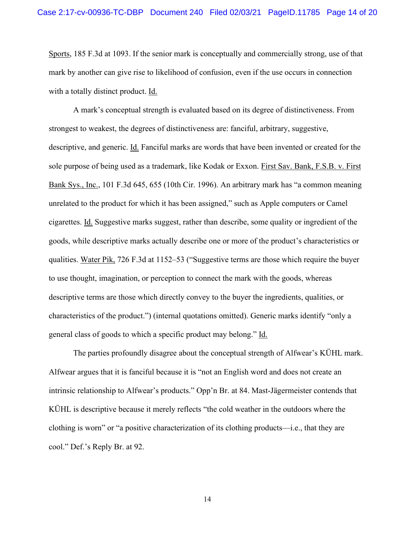Sports, 185 F.3d at 1093. If the senior mark is conceptually and commercially strong, use of that mark by another can give rise to likelihood of confusion, even if the use occurs in connection with a totally distinct product. Id.

A mark's conceptual strength is evaluated based on its degree of distinctiveness. From strongest to weakest, the degrees of distinctiveness are: fanciful, arbitrary, suggestive, descriptive, and generic. Id. Fanciful marks are words that have been invented or created for the sole purpose of being used as a trademark, like Kodak or Exxon. First Sav. Bank, F.S.B. v. First Bank Sys., Inc., 101 F.3d 645, 655 (10th Cir. 1996). An arbitrary mark has "a common meaning unrelated to the product for which it has been assigned," such as Apple computers or Camel cigarettes. Id. Suggestive marks suggest, rather than describe, some quality or ingredient of the goods, while descriptive marks actually describe one or more of the product's characteristics or qualities. Water Pik, 726 F.3d at 1152–53 ("Suggestive terms are those which require the buyer to use thought, imagination, or perception to connect the mark with the goods, whereas descriptive terms are those which directly convey to the buyer the ingredients, qualities, or characteristics of the product.") (internal quotations omitted). Generic marks identify "only a general class of goods to which a specific product may belong." Id.

The parties profoundly disagree about the conceptual strength of Alfwear's KÜHL mark. Alfwear argues that it is fanciful because it is "not an English word and does not create an intrinsic relationship to Alfwear's products." Opp'n Br. at 84. Mast-Jägermeister contends that KÜHL is descriptive because it merely reflects "the cold weather in the outdoors where the clothing is worn" or "a positive characterization of its clothing products—i.e., that they are cool." Def.'s Reply Br. at 92.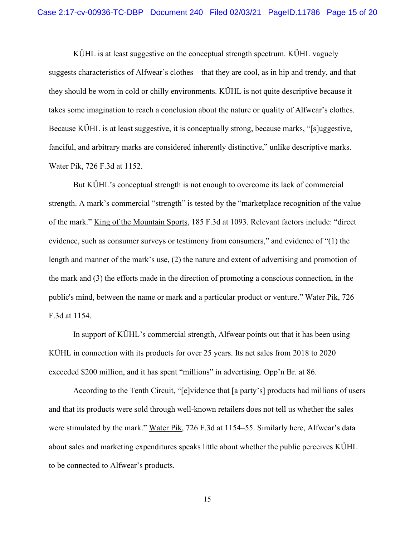KÜHL is at least suggestive on the conceptual strength spectrum. KÜHL vaguely suggests characteristics of Alfwear's clothes—that they are cool, as in hip and trendy, and that they should be worn in cold or chilly environments. KÜHL is not quite descriptive because it takes some imagination to reach a conclusion about the nature or quality of Alfwear's clothes. Because KÜHL is at least suggestive, it is conceptually strong, because marks, "[s]uggestive, fanciful, and arbitrary marks are considered inherently distinctive," unlike descriptive marks. Water Pik, 726 F.3d at 1152.

But KÜHL's conceptual strength is not enough to overcome its lack of commercial strength. A mark's commercial "strength" is tested by the "marketplace recognition of the value of the mark." King of the Mountain Sports, 185 F.3d at 1093. Relevant factors include: "direct evidence, such as consumer surveys or testimony from consumers," and evidence of "(1) the length and manner of the mark's use, (2) the nature and extent of advertising and promotion of the mark and (3) the efforts made in the direction of promoting a conscious connection, in the public's mind, between the name or mark and a particular product or venture." Water Pik, 726 F.3d at 1154.

In support of KÜHL's commercial strength, Alfwear points out that it has been using KÜHL in connection with its products for over 25 years. Its net sales from 2018 to 2020 exceeded \$200 million, and it has spent "millions" in advertising. Opp'n Br. at 86.

According to the Tenth Circuit, "[e]vidence that [a party's] products had millions of users and that its products were sold through well-known retailers does not tell us whether the sales were stimulated by the mark." Water Pik, 726 F.3d at 1154–55. Similarly here, Alfwear's data about sales and marketing expenditures speaks little about whether the public perceives KÜHL to be connected to Alfwear's products.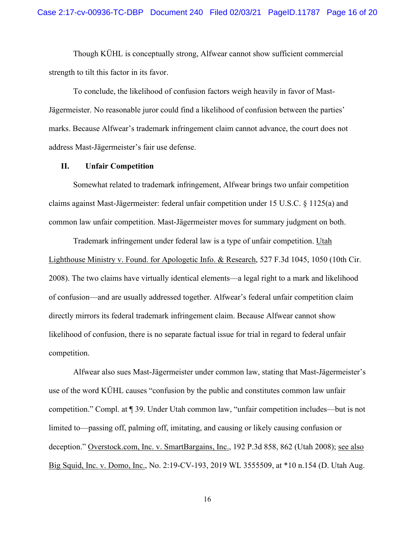Though KÜHL is conceptually strong, Alfwear cannot show sufficient commercial strength to tilt this factor in its favor.

To conclude, the likelihood of confusion factors weigh heavily in favor of Mast-Jägermeister. No reasonable juror could find a likelihood of confusion between the parties' marks. Because Alfwear's trademark infringement claim cannot advance, the court does not address Mast-Jägermeister's fair use defense.

#### **II. Unfair Competition**

Somewhat related to trademark infringement, Alfwear brings two unfair competition claims against Mast-Jägermeister: federal unfair competition under 15 U.S.C. § 1125(a) and common law unfair competition. Mast-Jägermeister moves for summary judgment on both.

Trademark infringement under federal law is a type of unfair competition. Utah Lighthouse Ministry v. Found. for Apologetic Info. & Research, 527 F.3d 1045, 1050 (10th Cir. 2008). The two claims have virtually identical elements—a legal right to a mark and likelihood of confusion—and are usually addressed together. Alfwear's federal unfair competition claim directly mirrors its federal trademark infringement claim. Because Alfwear cannot show likelihood of confusion, there is no separate factual issue for trial in regard to federal unfair competition.

Alfwear also sues Mast-Jägermeister under common law, stating that Mast-Jägermeister's use of the word KÜHL causes "confusion by the public and constitutes common law unfair competition." Compl. at ¶ 39. Under Utah common law, "unfair competition includes—but is not limited to—passing off, palming off, imitating, and causing or likely causing confusion or deception." Overstock.com, Inc. v. SmartBargains, Inc., 192 P.3d 858, 862 (Utah 2008); see also Big Squid, Inc. v. Domo, Inc., No. 2:19-CV-193, 2019 WL 3555509, at \*10 n.154 (D. Utah Aug.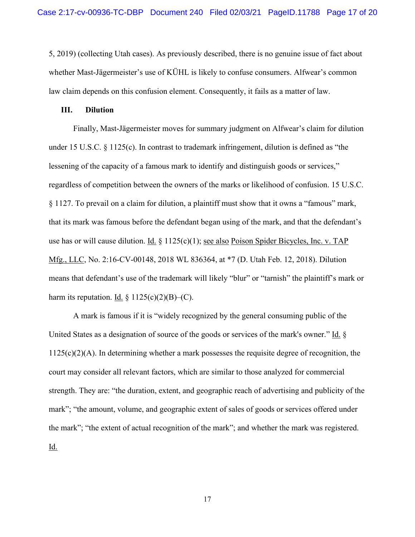5, 2019) (collecting Utah cases). As previously described, there is no genuine issue of fact about whether Mast-Jägermeister's use of KÜHL is likely to confuse consumers. Alfwear's common law claim depends on this confusion element. Consequently, it fails as a matter of law.

# **III. Dilution**

Finally, Mast-Jägermeister moves for summary judgment on Alfwear's claim for dilution under 15 U.S.C.  $\S$  1125(c). In contrast to trademark infringement, dilution is defined as "the lessening of the capacity of a famous mark to identify and distinguish goods or services," regardless of competition between the owners of the marks or likelihood of confusion. 15 U.S.C. § 1127. To prevail on a claim for dilution, a plaintiff must show that it owns a "famous" mark, that its mark was famous before the defendant began using of the mark, and that the defendant's use has or will cause dilution. Id.  $\S 1125(c)(1)$ ; see also Poison Spider Bicycles, Inc. v. TAP Mfg., LLC, No. 2:16-CV-00148, 2018 WL 836364, at \*7 (D. Utah Feb. 12, 2018). Dilution means that defendant's use of the trademark will likely "blur" or "tarnish" the plaintiff's mark or harm its reputation. Id.  $\S 1125(c)(2)(B)$ –(C).

A mark is famous if it is "widely recognized by the general consuming public of the United States as a designation of source of the goods or services of the mark's owner." Id. §  $1125(c)(2)(A)$ . In determining whether a mark possesses the requisite degree of recognition, the court may consider all relevant factors, which are similar to those analyzed for commercial strength. They are: "the duration, extent, and geographic reach of advertising and publicity of the mark"; "the amount, volume, and geographic extent of sales of goods or services offered under the mark"; "the extent of actual recognition of the mark"; and whether the mark was registered. Id.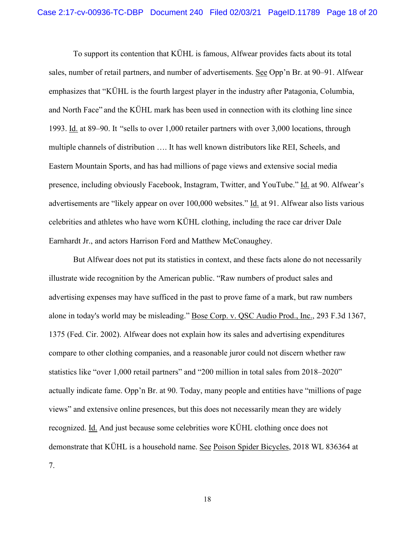To support its contention that KÜHL is famous, Alfwear provides facts about its total sales, number of retail partners, and number of advertisements. See Opp'n Br. at 90–91. Alfwear emphasizes that "KÜHL is the fourth largest player in the industry after Patagonia, Columbia, and North Face" and the KÜHL mark has been used in connection with its clothing line since 1993. Id. at 89–90. It "sells to over 1,000 retailer partners with over 3,000 locations, through multiple channels of distribution …. It has well known distributors like REI, Scheels, and Eastern Mountain Sports, and has had millions of page views and extensive social media presence, including obviously Facebook, Instagram, Twitter, and YouTube." Id. at 90. Alfwear's advertisements are "likely appear on over 100,000 websites." Id. at 91. Alfwear also lists various celebrities and athletes who have worn KÜHL clothing, including the race car driver Dale Earnhardt Jr., and actors Harrison Ford and Matthew McConaughey.

But Alfwear does not put its statistics in context, and these facts alone do not necessarily illustrate wide recognition by the American public. "Raw numbers of product sales and advertising expenses may have sufficed in the past to prove fame of a mark, but raw numbers alone in today's world may be misleading." Bose Corp. v. QSC Audio Prod., Inc., 293 F.3d 1367, 1375 (Fed. Cir. 2002). Alfwear does not explain how its sales and advertising expenditures compare to other clothing companies, and a reasonable juror could not discern whether raw statistics like "over 1,000 retail partners" and "200 million in total sales from 2018–2020" actually indicate fame. Opp'n Br. at 90. Today, many people and entities have "millions of page views" and extensive online presences, but this does not necessarily mean they are widely recognized. Id. And just because some celebrities wore KÜHL clothing once does not demonstrate that KÜHL is a household name. See Poison Spider Bicycles, 2018 WL 836364 at 7.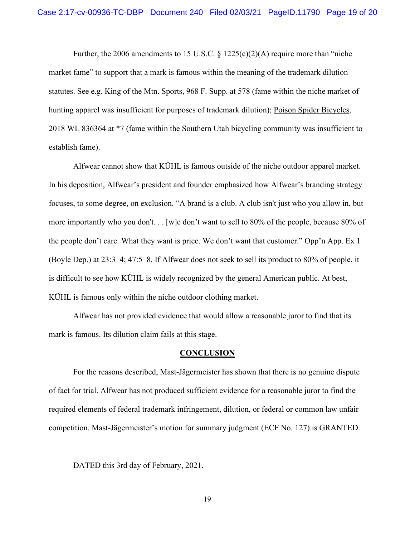Further, the 2006 amendments to 15 U.S.C. § 1225(c)(2)(A) require more than "niche market fame" to support that a mark is famous within the meaning of the trademark dilution statutes. See e.g. King of the Mtn. Sports, 968 F. Supp. at 578 (fame within the niche market of hunting apparel was insufficient for purposes of trademark dilution); Poison Spider Bicycles, 2018 WL 836364 at \*7 (fame within the Southern Utah bicycling community was insufficient to establish fame).

Alfwear cannot show that KÜHL is famous outside of the niche outdoor apparel market. In his deposition, Alfwear's president and founder emphasized how Alfwear's branding strategy focuses, to some degree, on exclusion. "A brand is a club. A club isn't just who you allow in, but more importantly who you don't. . . [w]e don't want to sell to 80% of the people, because 80% of the people don't care. What they want is price. We don't want that customer." Opp'n App. Ex 1 (Boyle Dep.) at 23:3–4; 47:5–8. If Alfwear does not seek to sell its product to 80% of people, it is difficult to see how KÜHL is widely recognized by the general American public. At best, KÜHL is famous only within the niche outdoor clothing market.

Alfwear has not provided evidence that would allow a reasonable juror to find that its mark is famous. Its dilution claim fails at this stage.

#### **CONCLUSION**

For the reasons described, Mast-Jägermeister has shown that there is no genuine dispute of fact for trial. Alfwear has not produced sufficient evidence for a reasonable juror to find the required elements of federal trademark infringement, dilution, or federal or common law unfair competition. Mast-Jägermeister's motion for summary judgment (ECF No. 127) is GRANTED.

DATED this 3rd day of February, 2021.